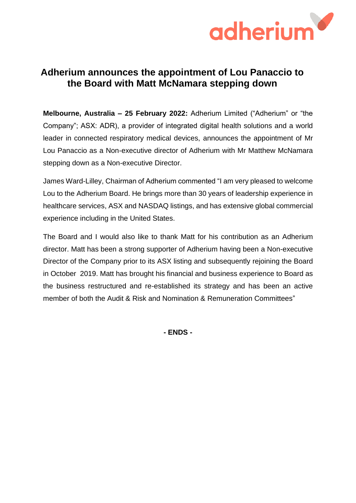

## **Adherium announces the appointment of Lou Panaccio to the Board with Matt McNamara stepping down**

**Melbourne, Australia – 25 February 2022:** Adherium Limited ("Adherium" or "the Company"; ASX: ADR), a provider of integrated digital health solutions and a world leader in connected respiratory medical devices, announces the appointment of Mr Lou Panaccio as a Non-executive director of Adherium with Mr Matthew McNamara stepping down as a Non-executive Director.

James Ward-Lilley, Chairman of Adherium commented "I am very pleased to welcome Lou to the Adherium Board. He brings more than 30 years of leadership experience in healthcare services, ASX and NASDAQ listings, and has extensive global commercial experience including in the United States.

The Board and I would also like to thank Matt for his contribution as an Adherium director. Matt has been a strong supporter of Adherium having been a Non-executive Director of the Company prior to its ASX listing and subsequently rejoining the Board in October 2019. Matt has brought his financial and business experience to Board as the business restructured and re-established its strategy and has been an active member of both the Audit & Risk and Nomination & Remuneration Committees"

**- ENDS -**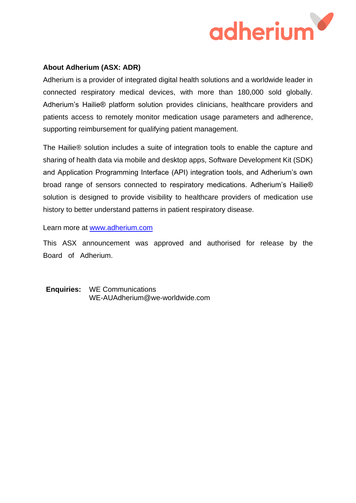

## **About Adherium (ASX: ADR)**

Adherium is a provider of integrated digital health solutions and a worldwide leader in connected respiratory medical devices, with more than 180,000 sold globally. Adherium's Hailie® platform solution provides clinicians, healthcare providers and patients access to remotely monitor medication usage parameters and adherence, supporting reimbursement for qualifying patient management.

The Hailie® solution includes a suite of integration tools to enable the capture and sharing of health data via mobile and desktop apps, Software Development Kit (SDK) and Application Programming Interface (API) integration tools, and Adherium's own broad range of sensors connected to respiratory medications. Adherium's Hailie® solution is designed to provide visibility to healthcare providers of medication use history to better understand patterns in patient respiratory disease.

Learn more at [www.adherium.com](about:blank)

This ASX announcement was approved and authorised for release by the Board of Adherium.

**Enquiries:** WE Communications WE-AUAdherium@we-worldwide.com